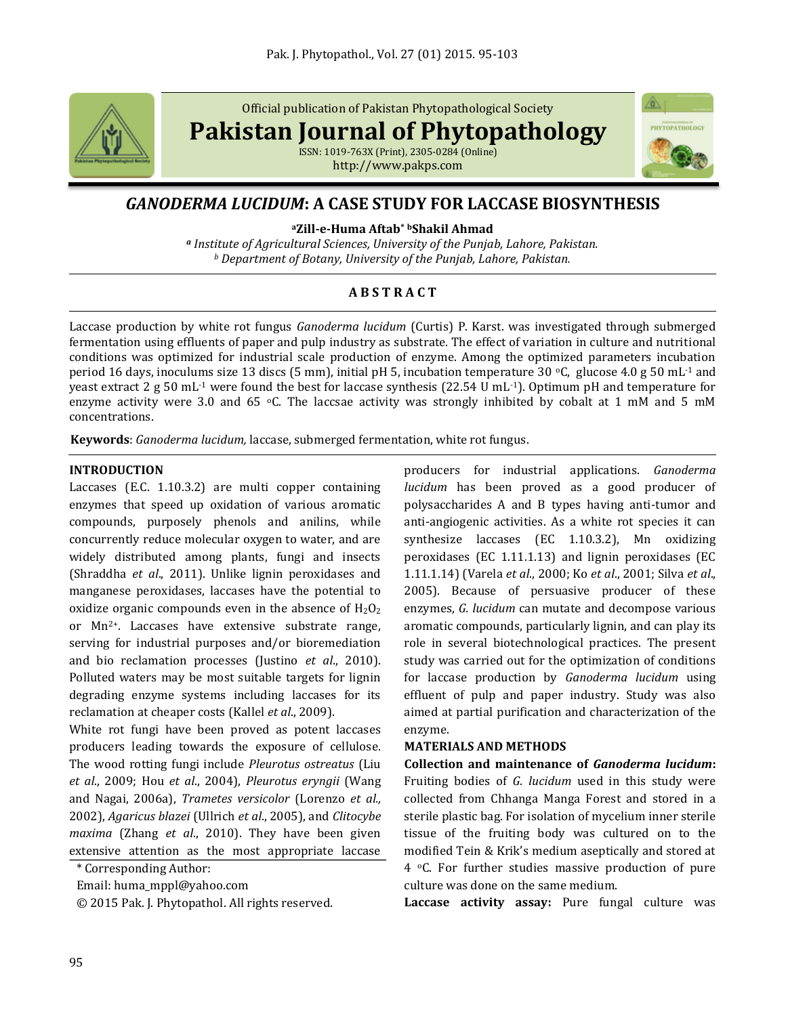

Official publication of Pakistan Phytopathological Society

**Pakistan Journal of Phytopathology**

ISSN: 1019-763X (Print), 2305-0284 (Online) http://www.pakps.com



# *GANODERMA LUCIDUM***: A CASE STUDY FOR LACCASE BIOSYNTHESIS**

**<sup>a</sup>Zill-e-Huma Aftab\* <sup>b</sup>Shakil Ahmad**

*<sup>a</sup> Institute of Agricultural Sciences, University of the Punjab, Lahore, Pakistan. <sup>b</sup> Department of Botany, University of the Punjab, Lahore, Pakistan.*

# **A B S T R A C T**

Laccase production by white rot fungus *Ganoderma lucidum* [\(Curtis\)](http://en.wikipedia.org/wiki/Moses_Ashley_Curtis) P. Karst. was investigated through submerged fermentation using effluents of paper and pulp industry as substrate. The effect of variation in culture and nutritional conditions was optimized for industrial scale production of enzyme. Among the optimized parameters incubation period 16 days, inoculums size 13 discs (5 mm), initial pH 5, incubation temperature 30  $\degree$ C, glucose 4.0 g 50 mL<sup>-1</sup> and yeast extract 2 g 50 mL-1 were found the best for laccase synthesis (22.54 U mL-1). Optimum pH and temperature for enzyme activity were 3.0 and 65  $\degree$ C. The laccsae activity was strongly inhibited by cobalt at 1 mM and 5 mM concentrations.

**Keywords**: *Ganoderma lucidum,* laccase, submerged fermentation, white rot fungus.

## **INTRODUCTION**

Laccases (E.C. 1.10.3.2) are multi copper containing enzymes that speed up oxidation of various aromatic compounds, purposely phenols and anilins, while concurrently reduce molecular oxygen to water, and are widely distributed among plants, fungi and insects (Shraddha *et al*., 2011). Unlike lignin peroxidases and manganese peroxidases, laccases have the potential to oxidize organic compounds even in the absence of  $H_2O_2$ or Mn2+. Laccases have extensive substrate range, serving for industrial purposes and/or bioremediation and bio reclamation processes (Justino *et al*., 2010). Polluted waters may be most suitable targets for lignin degrading enzyme systems including laccases for its reclamation at cheaper costs (Kallel *et al*., 2009).

White rot fungi have been proved as potent laccases producers leading towards the exposure of cellulose. The wood rotting fungi include *Pleurotus ostreatus* (Liu *et al*., 2009; Hou *et al*., 2004), *Pleurotus eryngii* (Wang and Nagai, 2006a), *Trametes versicolor* (Lorenzo *et al.,* 2002), *Agaricus blazei* (Ullrich *et al*., 2005), and *Clitocybe maxima* (Zhang *et al*., 2010). They have been given extensive attention as the most appropriate laccase

\* Corresponding Author:

Email: huma\_mppl@yahoo.com

© 2015 Pak. J. Phytopathol. All rights reserved.

producers for industrial applications. *Ganoderma lucidum* has been proved as a good producer of polysaccharides A and B types having anti-tumor and anti-angiogenic activities. As a white rot species it can synthesize laccases (EC 1.10.3.2), Mn oxidizing peroxidases (EC 1.11.1.13) and lignin peroxidases (EC 1.11.1.14) (Varela *et al*., 2000; Ko *et al*., 2001; Silva *et al*., 2005). Because of persuasive producer of these enzymes, *G. lucidum* can mutate and decompose various aromatic compounds, particularly lignin, and can play its role in several biotechnological practices. The present study was carried out for the optimization of conditions for laccase production by *Ganoderma lucidum* using effluent of pulp and paper industry. Study was also aimed at partial purification and characterization of the enzyme.

### **MATERIALS AND METHODS**

**Collection and maintenance of** *Ganoderma lucidum***:**  Fruiting bodies of *G. lucidum* used in this study were collected from Chhanga Manga Forest and stored in a sterile plastic bag. For isolation of mycelium inner sterile tissue of the fruiting body was cultured on to the modified Tein & Krik's medium aseptically and stored at 4 oC. For further studies massive production of pure culture was done on the same medium.

**Laccase activity assay:** Pure fungal culture was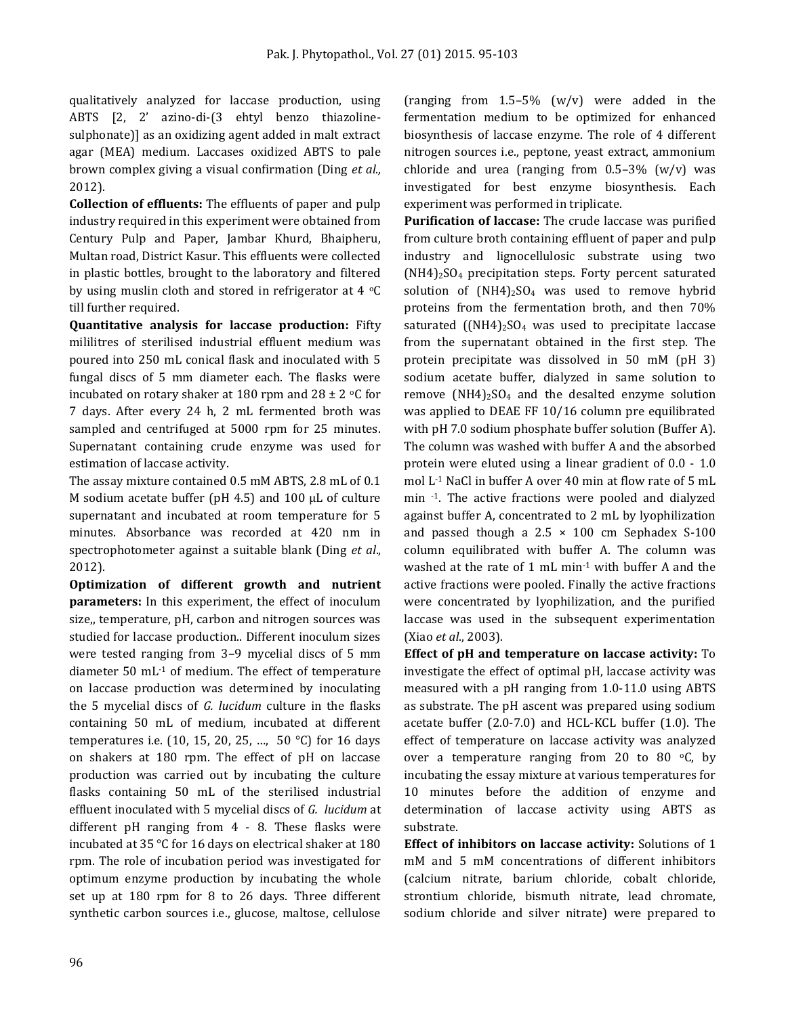qualitatively analyzed for laccase production, using ABTS [2, 2' azino-di-(3 ehtyl benzo thiazolinesulphonate)] as an oxidizing agent added in malt extract agar (MEA) medium. Laccases oxidized ABTS to pale brown complex giving a visual confirmation (Ding *et al.,*  2012).

**Collection of effluents:** The effluents of paper and pulp industry required in this experiment were obtained from Century Pulp and Paper, Jambar Khurd, Bhaipheru, Multan road, District Kasur. This effluents were collected in plastic bottles, brought to the laboratory and filtered by using muslin cloth and stored in refrigerator at 4  $\mathrm{C}$ till further required.

**Quantitative analysis for laccase production:** Fifty mililitres of sterilised industrial effluent medium was poured into 250 mL conical flask and inoculated with 5 fungal discs of 5 mm diameter each. The flasks were incubated on rotary shaker at 180 rpm and 28  $\pm$  2 °C for 7 days. After every 24 h, 2 mL fermented broth was sampled and centrifuged at 5000 rpm for 25 minutes. Supernatant containing crude enzyme was used for estimation of laccase activity.

The assay mixture contained 0.5 mM ABTS, 2.8 mL of 0.1 M sodium acetate buffer (pH 4.5) and 100 μL of culture supernatant and incubated at room temperature for 5 minutes. Absorbance was recorded at 420 nm in spectrophotometer against a suitable blank (Ding *et al*., 2012).

**Optimization of different growth and nutrient parameters:** In this experiment, the effect of inoculum size,, temperature, pH, carbon and nitrogen sources was studied for laccase production.. Different inoculum sizes were tested ranging from 3–9 mycelial discs of 5 mm diameter 50 mL-1 of medium. The effect of temperature on laccase production was determined by inoculating the 5 mycelial discs of *G. lucidum* culture in the flasks containing 50 mL of medium, incubated at different temperatures i.e. (10, 15, 20, 25, …, 50 °C) for 16 days on shakers at 180 rpm. The effect of pH on laccase production was carried out by incubating the culture flasks containing 50 mL of the sterilised industrial effluent inoculated with 5 mycelial discs of *G. lucidum* at different pH ranging from 4 - 8. These flasks were incubated at 35 °C for 16 days on electrical shaker at 180 rpm. The role of incubation period was investigated for optimum enzyme production by incubating the whole set up at 180 rpm for 8 to 26 days. Three different synthetic carbon sources i.e., glucose, maltose, cellulose

(ranging from  $1.5-5\%$  (w/v) were added in the fermentation medium to be optimized for enhanced biosynthesis of laccase enzyme. The role of 4 different nitrogen sources i.e., peptone, yeast extract, ammonium chloride and urea (ranging from  $0.5-3\%$  (w/v) was investigated for best enzyme biosynthesis. Each experiment was performed in triplicate.

**Purification of laccase:** The crude laccase was purified from culture broth containing effluent of paper and pulp industry and lignocellulosic substrate using two  $(NH4)_2SO_4$  precipitation steps. Forty percent saturated solution of  $(NH4)_{2}SO_{4}$  was used to remove hybrid proteins from the fermentation broth, and then 70% saturated  $((NH4)_2)$ SO<sub>4</sub> was used to precipitate laccase from the supernatant obtained in the first step. The protein precipitate was dissolved in 50 mM (pH 3) sodium acetate buffer, dialyzed in same solution to remove  $(NH4)_{2}SO_{4}$  and the desalted enzyme solution was applied to DEAE FF 10/16 column pre equilibrated with pH 7.0 sodium phosphate buffer solution (Buffer A). The column was washed with buffer A and the absorbed protein were eluted using a linear gradient of 0.0 - 1.0 mol L-1 NaCl in buffer A over 40 min at flow rate of 5 mL min -1. The active fractions were pooled and dialyzed against buffer A, concentrated to 2 mL by lyophilization and passed though a  $2.5 \times 100$  cm Sephadex S-100 column equilibrated with buffer A. The column was washed at the rate of 1 mL min<sup>-1</sup> with buffer A and the active fractions were pooled. Finally the active fractions were concentrated by lyophilization, and the purified laccase was used in the subsequent experimentation (Xiao *et al*., 2003).

**Effect of pH and temperature on laccase activity:** To investigate the effect of optimal pH, laccase activity was measured with a pH ranging from 1.0-11.0 using ABTS as substrate. The pH ascent was prepared using sodium acetate buffer (2.0-7.0) and HCL-KCL buffer (1.0). The effect of temperature on laccase activity was analyzed over a temperature ranging from 20 to 80 $\degree$ C, by incubating the essay mixture at various temperatures for 10 minutes before the addition of enzyme and determination of laccase activity using ABTS as substrate.

**Effect of inhibitors on laccase activity:** Solutions of 1 mM and 5 mM concentrations of different inhibitors (calcium nitrate, barium chloride, cobalt chloride, strontium chloride, bismuth nitrate, lead chromate, sodium chloride and silver nitrate) were prepared to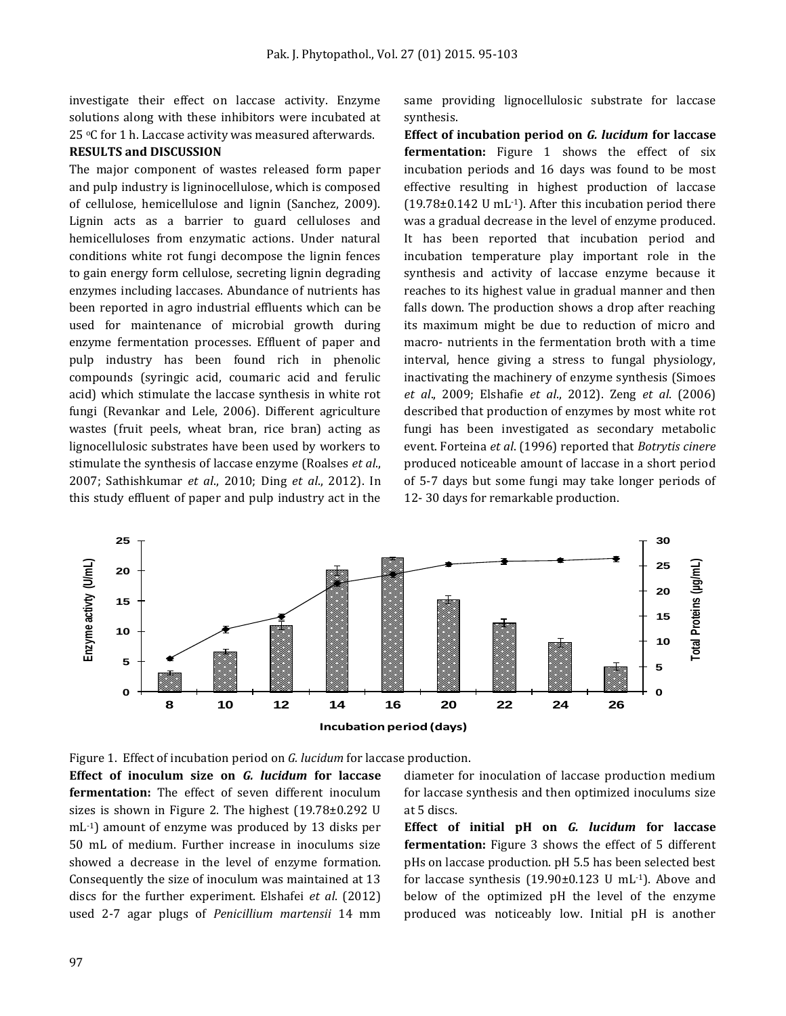investigate their effect on laccase activity. Enzyme solutions along with these inhibitors were incubated at 25 °C for 1 h. Laccase activity was measured afterwards.

#### **RESULTS and DISCUSSION**

The major component of wastes released form paper and pulp industry is ligninocellulose, which is composed of cellulose, hemicellulose and lignin (Sanchez, 2009). Lignin acts as a barrier to guard celluloses and hemicelluloses from enzymatic actions. Under natural conditions white rot fungi decompose the lignin fences to gain energy form cellulose, secreting lignin degrading enzymes including laccases. Abundance of nutrients has been reported in agro industrial effluents which can be used for maintenance of microbial growth during enzyme fermentation processes. Effluent of paper and pulp industry has been found rich in phenolic compounds (syringic acid, coumaric acid and ferulic acid) which stimulate the laccase synthesis in white rot fungi (Revankar and Lele, 2006). Different agriculture wastes (fruit peels, wheat bran, rice bran) acting as lignocellulosic substrates have been used by workers to stimulate the synthesis of laccase enzyme (Roalses *et al*., 2007; Sathishkumar *et al*., 2010; Ding *et al*., 2012). In this study effluent of paper and pulp industry act in the same providing lignocellulosic substrate for laccase synthesis.

**Effect of incubation period on** *G. lucidum* **for laccase fermentation:** Figure 1 shows the effect of six incubation periods and 16 days was found to be most effective resulting in highest production of laccase  $(19.78\pm0.142 \text{ U mL}^{-1})$ . After this incubation period there was a gradual decrease in the level of enzyme produced. It has been reported that incubation period and incubation temperature play important role in the synthesis and activity of laccase enzyme because it reaches to its highest value in gradual manner and then falls down. The production shows a drop after reaching its maximum might be due to reduction of micro and macro- nutrients in the fermentation broth with a time interval, hence giving a stress to fungal physiology, inactivating the machinery of enzyme synthesis (Simoes *et al*., 2009; Elshafie *et al*., 2012). Zeng *et al*. (2006) described that production of enzymes by most white rot fungi has been investigated as secondary metabolic event. Forteina *et al*. (1996) reported that *Botrytis cinere*  produced noticeable amount of laccase in a short period of 5-7 days but some fungi may take longer periods of 12- 30 days for remarkable production.



Figure 1. Effect of incubation period on *G. lucidum* for laccase production.

**Effect of inoculum size on** *G. lucidum* **for laccase fermentation:** The effect of seven different inoculum sizes is shown in Figure 2. The highest (19.78±0.292 U mL-1) amount of enzyme was produced by 13 disks per 50 mL of medium. Further increase in inoculums size showed a decrease in the level of enzyme formation. Consequently the size of inoculum was maintained at 13 discs for the further experiment. Elshafei *et al*. (2012) used 2-7 agar plugs of *Penicillium martensii* 14 mm diameter for inoculation of laccase production medium for laccase synthesis and then optimized inoculums size at 5 discs.

**Effect of initial pH on** *G. lucidum* **for laccase fermentation:** Figure 3 shows the effect of 5 different pHs on laccase production. pH 5.5 has been selected best for laccase synthesis  $(19.90\pm0.123 \text{ U} \text{ mL}^{-1})$ . Above and below of the optimized pH the level of the enzyme produced was noticeably low. Initial pH is another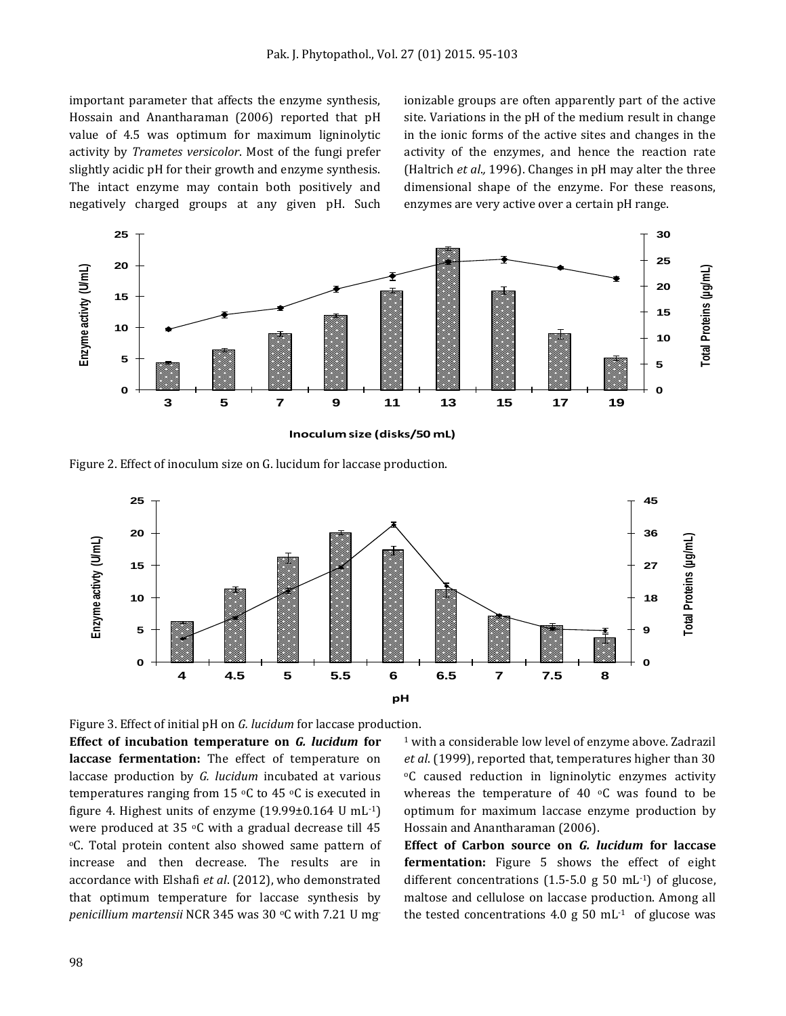important parameter that affects the enzyme synthesis, Hossain and Anantharaman (2006) reported that pH value of 4.5 was optimum for maximum ligninolytic activity by *Trametes versicolor*. Most of the fungi prefer slightly acidic pH for their growth and enzyme synthesis. The intact enzyme may contain both positively and negatively charged groups at any given pH. Such

ionizable groups are often apparently part of the active site. Variations in the pH of the medium result in change in the ionic forms of the active sites and changes in the activity of the enzymes, and hence the reaction rate (Haltrich *et al*.*,* 1996). Changes in pH may alter the three dimensional shape of the enzyme. For these reasons, enzymes are very active over a certain pH range.



Figure 2. Effect of inoculum size on G. lucidum for laccase production.



Figure 3. Effect of initial pH on *G. lucidum* for laccase production.

**Effect of incubation temperature on** *G. lucidum* **for laccase fermentation:** The effect of temperature on laccase production by *G. lucidum* incubated at various temperatures ranging from 15  $\,^{\circ}$ C to 45  $\,^{\circ}$ C is executed in figure 4. Highest units of enzyme (19.99±0.164 U mL-1) were produced at 35  $\degree$ C with a gradual decrease till 45 <sup>o</sup>C. Total protein content also showed same pattern of increase and then decrease. The results are in accordance with Elshafi *et al*. (2012), who demonstrated that optimum temperature for laccase synthesis by *penicillium martensii* NCR 345 was 30 °C with 7.21 U mg

<sup>1</sup> with a considerable low level of enzyme above. Zadrazil *et al*. (1999), reported that, temperatures higher than 30 <sup>o</sup>C caused reduction in ligninolytic enzymes activity whereas the temperature of 40 $\degree$ C was found to be optimum for maximum laccase enzyme production by Hossain and Anantharaman (2006).

**Effect of Carbon source on** *G. lucidum* **for laccase fermentation:** Figure 5 shows the effect of eight different concentrations  $(1.5\n-5.0 \text{ g } 50 \text{ mL}^{-1})$  of glucose, maltose and cellulose on laccase production. Among all the tested concentrations 4.0 g  $50 \text{ mL}^{-1}$  of glucose was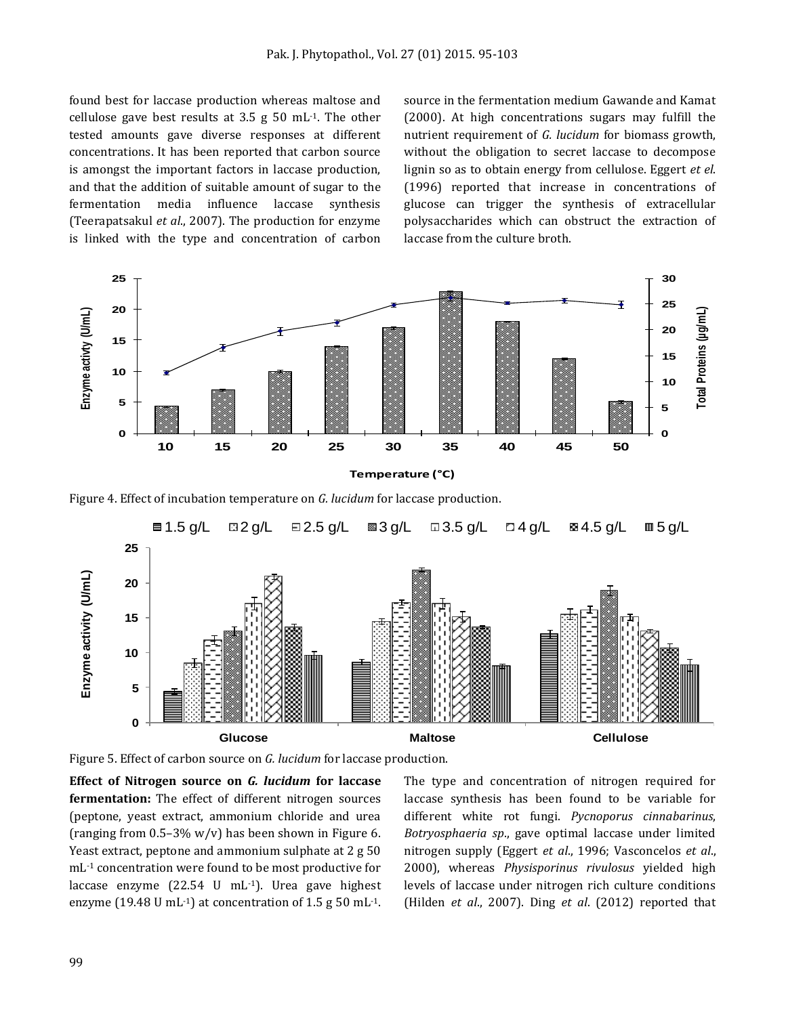found best for laccase production whereas maltose and cellulose gave best results at 3.5 g  $50 \text{ mL}$ <sup>1</sup>. The other tested amounts gave diverse responses at different concentrations. It has been reported that carbon source is amongst the important factors in laccase production, and that the addition of suitable amount of sugar to the fermentation media influence laccase synthesis (Teerapatsakul *et al*., 2007). The production for enzyme is linked with the type and concentration of carbon

source in the fermentation medium Gawande and Kamat (2000). At high concentrations sugars may fulfill the nutrient requirement of *G. lucidum* for biomass growth, without the obligation to secret laccase to decompose lignin so as to obtain energy from cellulose. Eggert *et el*. (1996) reported that increase in concentrations of glucose can trigger the synthesis of extracellular polysaccharides which can obstruct the extraction of laccase from the culture broth.



Figure 4. Effect of incubation temperature on *G. lucidum* for laccase production.



Figure 5. Effect of carbon source on *G. lucidum* for laccase production.

**Effect of Nitrogen source on** *G. lucidum* **for laccase fermentation:** The effect of different nitrogen sources (peptone, yeast extract, ammonium chloride and urea (ranging from  $0.5-3\%$  w/v) has been shown in Figure 6. Yeast extract, peptone and ammonium sulphate at 2 g 50 mL-1 concentration were found to be most productive for laccase enzyme (22.54 U mL-1). Urea gave highest enzyme (19.48 U mL<sup>-1</sup>) at concentration of 1.5 g 50 mL<sup>-1</sup>.

The type and concentration of nitrogen required for laccase synthesis has been found to be variable for different white rot fungi. *Pycnoporus cinnabarinus*, *Botryosphaeria sp*., gave optimal laccase under limited nitrogen supply (Eggert *et al*., 1996; Vasconcelos *et al*., 2000), whereas *Physisporinus rivulosus* yielded high levels of laccase under nitrogen rich culture conditions (Hilden *et al*., 2007). Ding *et al*. (2012) reported that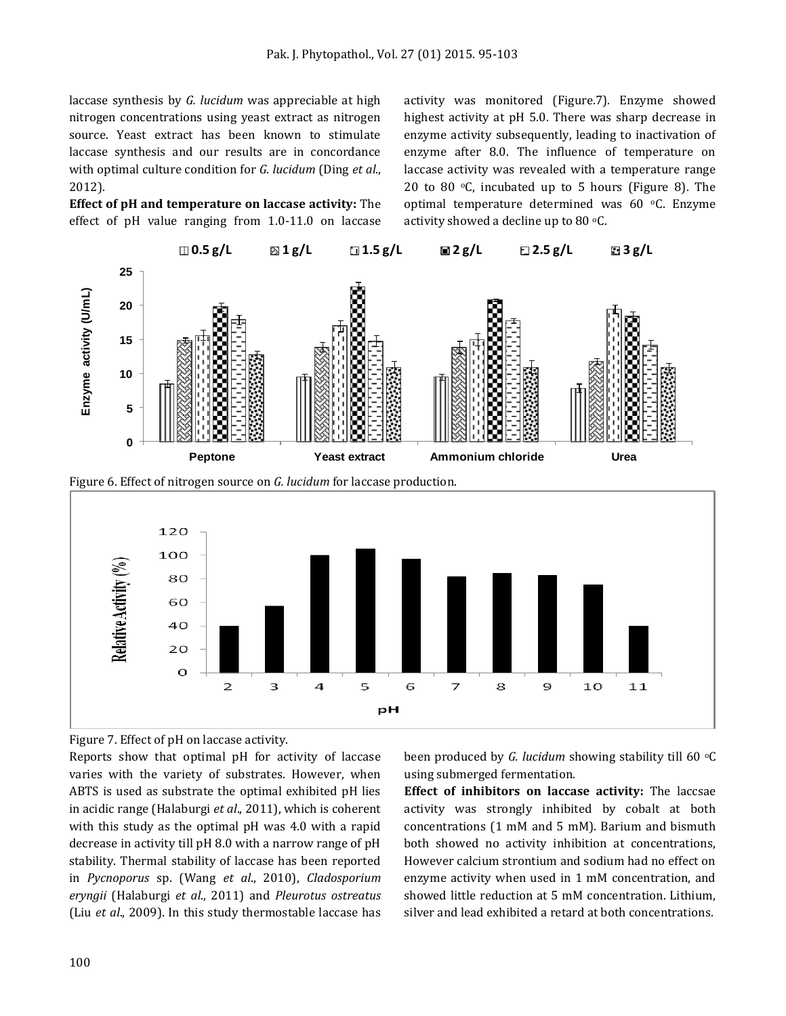laccase synthesis by *G. lucidum* was appreciable at high nitrogen concentrations using yeast extract as nitrogen source. Yeast extract has been known to stimulate laccase synthesis and our results are in concordance with optimal culture condition for *G. lucidum* (Ding *et al*., 2012).

**Effect of pH and temperature on laccase activity:** The effect of pH value ranging from 1.0-11.0 on laccase activity was monitored (Figure.7). Enzyme showed highest activity at pH 5.0. There was sharp decrease in enzyme activity subsequently, leading to inactivation of enzyme after 8.0. The influence of temperature on laccase activity was revealed with a temperature range 20 to 80 $\degree$ C, incubated up to 5 hours (Figure 8). The optimal temperature determined was 60 °C. Enzyme activity showed a decline up to 80  $\degree$ C.



Figure 6. Effect of nitrogen source on *G. lucidum* for laccase production.



Figure 7. Effect of pH on laccase activity.

Reports show that optimal pH for activity of laccase varies with the variety of substrates. However, when ABTS is used as substrate the optimal exhibited pH lies in acidic range (Halaburgi *et al*., 2011), which is coherent with this study as the optimal pH was 4.0 with a rapid decrease in activity till pH 8.0 with a narrow range of pH stability. Thermal stability of laccase has been reported in *Pycnoporus* sp. (Wang *et al*., 2010), *Cladosporium eryngii* (Halaburgi *et al*., 2011) and *Pleurotus ostreatus* (Liu *et al*., 2009). In this study thermostable laccase has

been produced by *G. lucidum* showing stability till 60 °C using submerged fermentation.

**Effect of inhibitors on laccase activity:** The laccsae activity was strongly inhibited by cobalt at both concentrations (1 mM and 5 mM). Barium and bismuth both showed no activity inhibition at concentrations, However calcium strontium and sodium had no effect on enzyme activity when used in 1 mM concentration, and showed little reduction at 5 mM concentration. Lithium, silver and lead exhibited a retard at both concentrations.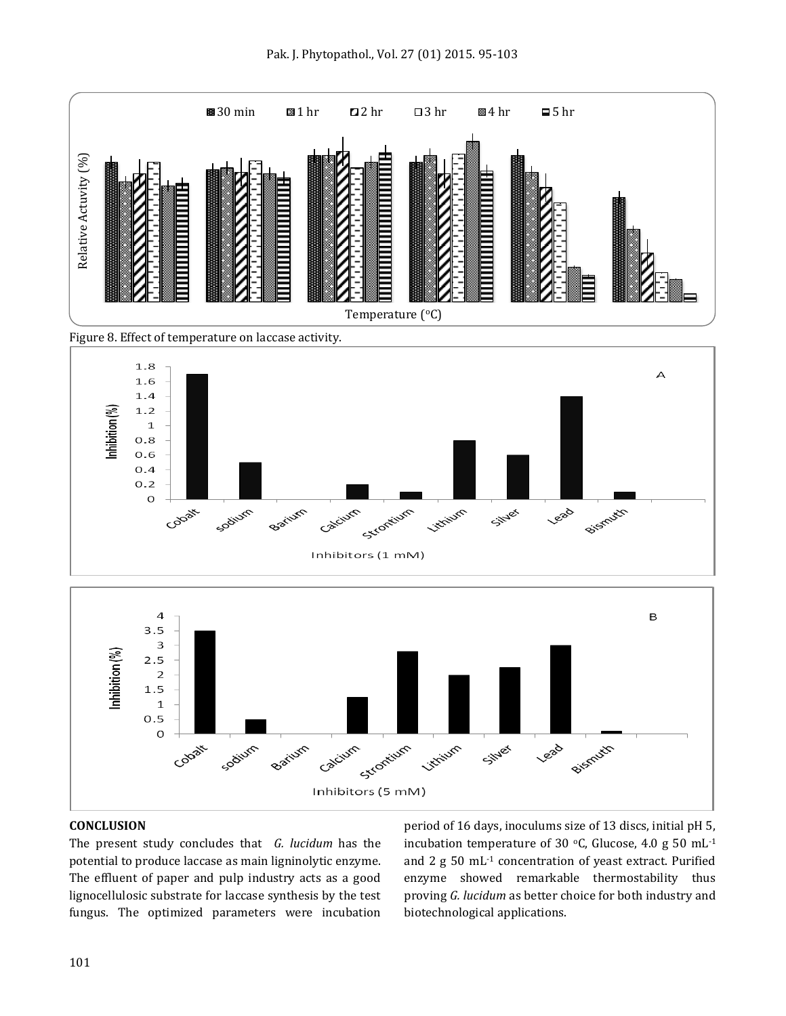

Figure 8. Effect of temperature on laccase activity.



#### **CONCLUSION**

The present study concludes that *G. lucidum* has the potential to produce laccase as main ligninolytic enzyme. The effluent of paper and pulp industry acts as a good lignocellulosic substrate for laccase synthesis by the test fungus. The optimized parameters were incubation

period of 16 days, inoculums size of 13 discs, initial pH 5, incubation temperature of 30  $\,^{\circ}$ C, Glucose, 4.0 g 50 mL<sup>-1</sup> and 2 g 50 mL-1 concentration of yeast extract. Purified enzyme showed remarkable thermostability thus proving *G. lucidum* as better choice for both industry and biotechnological applications.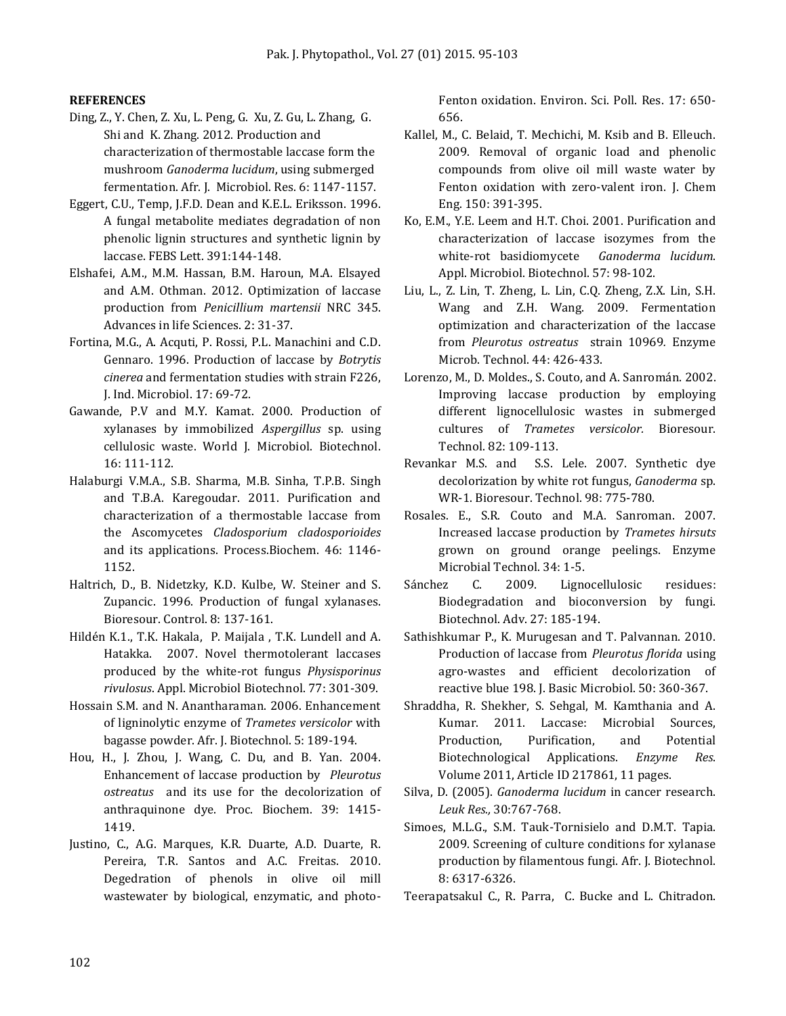#### **REFERENCES**

- Ding, Z., Y. Chen, Z. Xu, L. Peng, G. Xu, Z. Gu, L. Zhang, G. Shi and K. Zhang. 2012. Production and characterization of thermostable laccase form the mushroom *Ganoderma lucidum*, using submerged fermentation. Afr. J. Microbiol. Res. 6: 1147-1157.
- Eggert, C.U., Temp, J.F.D. Dean and K.E.L. Eriksson. 1996. A fungal metabolite mediates degradation of non phenolic lignin structures and synthetic lignin by laccase. FEBS Lett. 391:144-148.
- Elshafei, A.M., M.M. Hassan, B.M. Haroun, M.A. Elsayed and A.M. Othman. 2012. Optimization of laccase production from *Penicillium martensii* NRC 345. Advances in life Sciences. 2: 31-37.
- Fortina, M.G., A. Acquti, P. Rossi, P.L. Manachini and C.D. Gennaro. 1996. Production of laccase by *Botrytis cinerea* and fermentation studies with strain F226, J. Ind. Microbiol. 17: 69-72.
- Gawande, P.V and M.Y. Kamat. 2000. Production of xylanases by immobilized *Aspergillus* sp. using cellulosic waste. World J. Microbiol. Biotechnol. 16: 111-112.
- [Halaburgi](http://www.sciencedirect.com/science/article/pii/S1359511311000596) V.M.A., S.B. [Sharma,](http://www.sciencedirect.com/science/article/pii/S1359511311000596) M.B. [Sinha,](http://www.sciencedirect.com/science/article/pii/S1359511311000596) T.P.B. [Singh](http://www.sciencedirect.com/science/article/pii/S1359511311000596) and T.B.A. [Karegoudar.](http://www.sciencedirect.com/science/article/pii/S1359511311000596) 2011. Purification and characterization of a thermostable laccase from the Ascomycetes *Cladosporium cladosporioides* and its applications. Process.Biochem. 46: 1146- 1152.
- Haltrich, D., B. Nidetzky, K.D. Kulbe, W. Steiner and S. Zupancic. 1996. Production of fungal xylanases. Bioresour. Control. 8: 137-161.
- [Hildén K.1](http://www.ncbi.nlm.nih.gov/pubmed/?term=Hild%C3%A9n%20K%5BAuthor%5D&cauthor=true&cauthor_uid=17805527)., T.K. [Hakala,](http://www.ncbi.nlm.nih.gov/pubmed/?term=Hakala%20TK%5BAuthor%5D&cauthor=true&cauthor_uid=17805527) P. [Maijala ,](http://www.ncbi.nlm.nih.gov/pubmed/?term=Maijala%20P%5BAuthor%5D&cauthor=true&cauthor_uid=17805527) T.K. [Lundell and A.](http://www.ncbi.nlm.nih.gov/pubmed/?term=Lundell%20TK%5BAuthor%5D&cauthor=true&cauthor_uid=17805527) [Hatakka.](http://www.ncbi.nlm.nih.gov/pubmed/?term=Hatakka%20A%5BAuthor%5D&cauthor=true&cauthor_uid=17805527) 2007. Novel thermotolerant laccases produced by the white-rot fungus *Physisporinus rivulosus*. Appl. Microbiol Biotechnol. 77: 301-309.
- Hossain S.M. and N. Anantharaman. 2006. Enhancement of ligninolytic enzyme of *Trametes versicolor* with bagasse powder. Afr. J. Biotechnol. 5: 189-194.
- Hou, H., J. Zhou, J. Wang, C. Du, and B. Yan. 2004. Enhancement of laccase production by *Pleurotus ostreatus* and its use for the decolorization of anthraquinone dye. Proc. Biochem. 39: 1415- 1419.
- Justino, C., A.G. Marques, K.R. Duarte, A.D. Duarte, R. Pereira, T.R. Santos and A.C. Freitas. 2010. Degedration of phenols in olive oil mill wastewater by biological, enzymatic, and photo-

Fenton oxidation. Environ. Sci. Poll. Res. 17: 650- 656.

- Kallel, M., C. Belaid, T. Mechichi, M. Ksib and B. Elleuch. 2009. Removal of organic load and phenolic compounds from olive oil mill waste water by Fenton oxidation with zero-valent iron. J. Chem Eng. 150: 391-395.
- Ko, E.M., Y.E. Leem and H.T. Choi. 2001. Purification and characterization of laccase isozymes from the white-rot basidiomycete *Ganoderma lucidum*. Appl. Microbiol. Biotechnol. 57: 98-102.
- Liu, L., Z. Lin, T. Zheng, L. Lin, C.Q. Zheng, Z.X. Lin, S.H. Wang and Z.H. Wang. 2009. Fermentation optimization and characterization of the laccase from *Pleurotus ostreatus* strain 10969*.* Enzyme Microb. Technol. 44: 426-433.
- Lorenzo, M., D. Moldes., S. Couto, and A. Sanromán. 2002. Improving laccase production by employing different lignocellulosic wastes in submerged cultures of *Trametes versicolor.* Bioresour. Technol. 82: 109-113.
- [Revankar](http://www.sciencedirect.com/science/article/pii/S0960852406001453) M.S. and [S.S. Lele.](http://www.sciencedirect.com/science/article/pii/S0960852406001453) 2007. Synthetic dye decolorization by white rot fungus, *Ganoderma* sp. WR-1. Bioresour. Technol. 98: 775-780.
- Rosales. E., S.R. Couto and M.A. Sanroman. 2007. Increased laccase production by *Trametes hirsuts*  grown on ground orange peelings. Enzyme Microbial Technol. 34: 1-5.
- [Sánchez](http://www.sciencedirect.com/science/article/pii/S0734975008001092) C. 2009. Lignocellulosic residues: Biodegradation and bioconversion by fungi. Biotechnol. Adv. 27: 185-194.
- Sathishkumar P., K. Murugesan and T. Palvannan. 2010. Production of laccase from *Pleurotus florida* using agro-wastes and efficient decolorization of reactive blue 198. J. Basic Microbiol. 50: 360-367.
- Shraddha, R. Shekher, S. Sehgal, M. Kamthania and A. Kumar. 2011. Laccase: Microbial Sources, Production, Purification, and Potential Biotechnological Applications. *Enzyme Res*. Volume 2011, Article ID 217861, 11 pages.
- Silva, D. (2005). *Ganoderma lucidum* in cancer research. *Leuk Res.,* 30:767-768.
- Simoes, M.L.G., S.M. Tauk-Tornisielo and D.M.T. Tapia. 2009. Screening of culture conditions for xylanase production by filamentous fungi. Afr. J. Biotechnol. 8: 6317-6326.
- [Teerapatsakul](http://link.springer.com/search?facet-author=%22Churapa+Teerapatsakul%22) C., R. [Parra,](http://link.springer.com/search?facet-author=%22Roberto+Parra%22) [C. Bucke](http://link.springer.com/search?facet-author=%22Christopher+Bucke%22) and L. [Chitradon.](http://link.springer.com/search?facet-author=%22Lerluck+Chitradon%22)